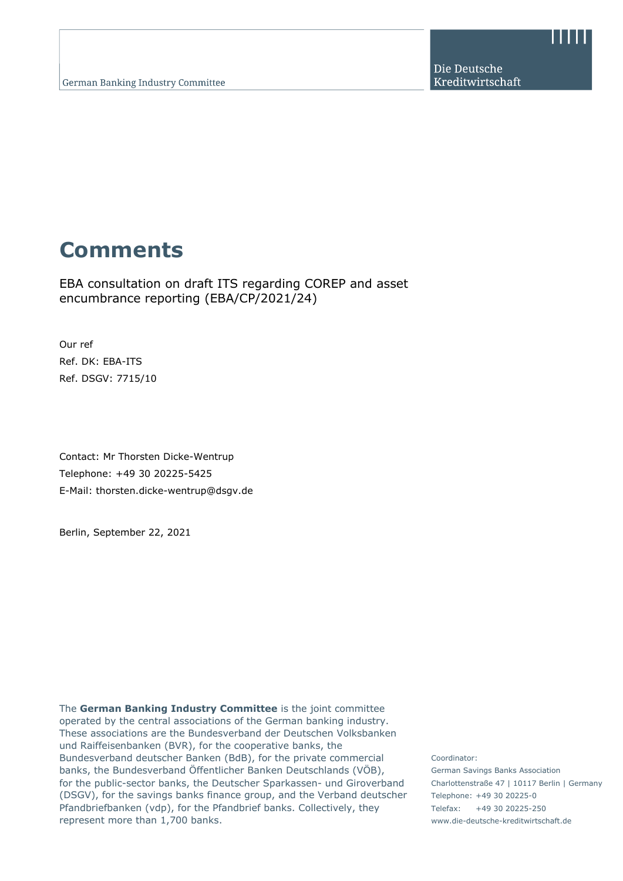Die Deutsche Kreditwirtschaft

# **Comments**

EBA consultation on draft ITS regarding COREP and asset encumbrance reporting (EBA/CP/2021/24)

Our ref Ref. DK: EBA-ITS Ref. DSGV: 7715/10

Contact: Mr Thorsten Dicke-Wentrup Telephone: +49 30 20225-5425 E-Mail: thorsten.dicke-wentrup@dsgv.de

Berlin, September 22, 2021

The **German Banking Industry Committee** is the joint committee operated by the central associations of the German banking industry. These associations are the Bundesverband der Deutschen Volksbanken und Raiffeisenbanken (BVR), for the cooperative banks, the Bundesverband deutscher Banken (BdB), for the private commercial banks, the Bundesverband Öffentlicher Banken Deutschlands (VÖB), for the public-sector banks, the Deutscher Sparkassen- und Giroverband (DSGV), for the savings banks finance group, and the Verband deutscher Pfandbriefbanken (vdp), for the Pfandbrief banks. Collectively, they represent more than 1,700 banks.

Coordinator: German Savings Banks Association Charlottenstraße 47 | 10117 Berlin | Germany Telephone: +49 30 20225-0 Telefax: +49 30 20225-250 www.die-deutsche-kreditwirtschaft.de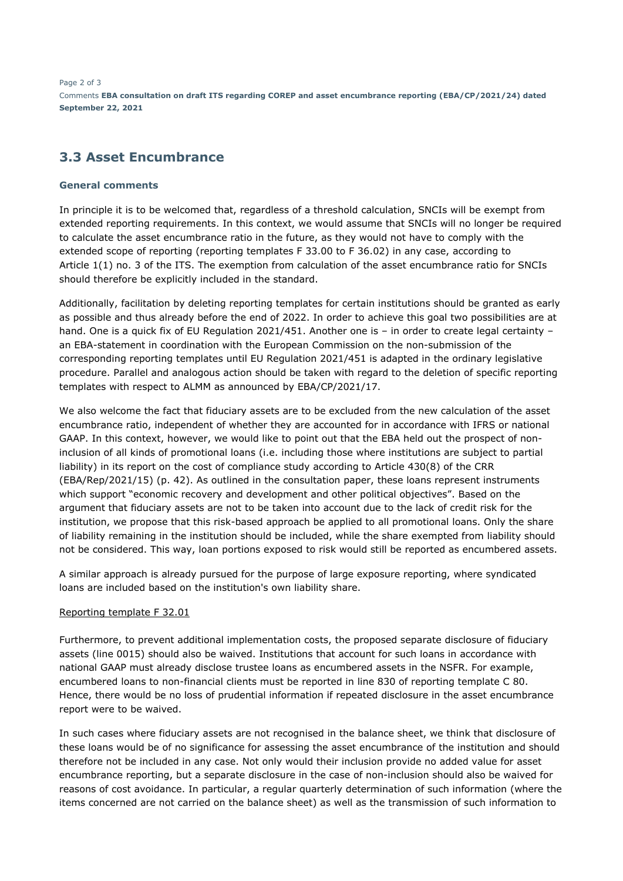Page 2 of 3 Comments **EBA consultation on draft ITS regarding COREP and asset encumbrance reporting (EBA/CP/2021/24) dated September 22, 2021**

# **3.3 Asset Encumbrance**

### **General comments**

In principle it is to be welcomed that, regardless of a threshold calculation, SNCIs will be exempt from extended reporting requirements. In this context, we would assume that SNCIs will no longer be required to calculate the asset encumbrance ratio in the future, as they would not have to comply with the extended scope of reporting (reporting templates F 33.00 to F 36.02) in any case, according to Article 1(1) no. 3 of the ITS. The exemption from calculation of the asset encumbrance ratio for SNCIs should therefore be explicitly included in the standard.

Additionally, facilitation by deleting reporting templates for certain institutions should be granted as early as possible and thus already before the end of 2022. In order to achieve this goal two possibilities are at hand. One is a quick fix of EU Regulation 2021/451. Another one is - in order to create legal certainty an EBA-statement in coordination with the European Commission on the non-submission of the corresponding reporting templates until EU Regulation 2021/451 is adapted in the ordinary legislative procedure. Parallel and analogous action should be taken with regard to the deletion of specific reporting templates with respect to ALMM as announced by EBA/CP/2021/17.

We also welcome the fact that fiduciary assets are to be excluded from the new calculation of the asset encumbrance ratio, independent of whether they are accounted for in accordance with IFRS or national GAAP. In this context, however, we would like to point out that the EBA held out the prospect of noninclusion of all kinds of promotional loans (i.e. including those where institutions are subject to partial liability) in its report on the cost of compliance study according to Article 430(8) of the CRR (EBA/Rep/2021/15) (p. 42). As outlined in the consultation paper, these loans represent instruments which support "economic recovery and development and other political objectives". Based on the argument that fiduciary assets are not to be taken into account due to the lack of credit risk for the institution, we propose that this risk-based approach be applied to all promotional loans. Only the share of liability remaining in the institution should be included, while the share exempted from liability should not be considered. This way, loan portions exposed to risk would still be reported as encumbered assets.

A similar approach is already pursued for the purpose of large exposure reporting, where syndicated loans are included based on the institution's own liability share.

#### Reporting template F 32.01

Furthermore, to prevent additional implementation costs, the proposed separate disclosure of fiduciary assets (line 0015) should also be waived. Institutions that account for such loans in accordance with national GAAP must already disclose trustee loans as encumbered assets in the NSFR. For example, encumbered loans to non-financial clients must be reported in line 830 of reporting template C 80. Hence, there would be no loss of prudential information if repeated disclosure in the asset encumbrance report were to be waived.

In such cases where fiduciary assets are not recognised in the balance sheet, we think that disclosure of these loans would be of no significance for assessing the asset encumbrance of the institution and should therefore not be included in any case. Not only would their inclusion provide no added value for asset encumbrance reporting, but a separate disclosure in the case of non-inclusion should also be waived for reasons of cost avoidance. In particular, a regular quarterly determination of such information (where the items concerned are not carried on the balance sheet) as well as the transmission of such information to